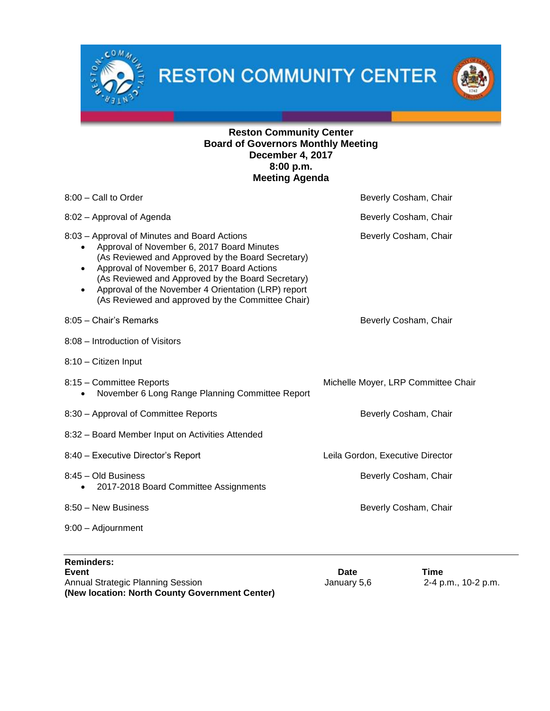$0M$ 



# **Reston Community Center Board of Governors Monthly Meeting December 4, 2017 8:00 p.m. Meeting Agenda**

| 8:00 - Call to Order                                                                                                                                                                                                                                                                                                                                                             | Beverly Cosham, Chair               |  |
|----------------------------------------------------------------------------------------------------------------------------------------------------------------------------------------------------------------------------------------------------------------------------------------------------------------------------------------------------------------------------------|-------------------------------------|--|
| 8:02 - Approval of Agenda                                                                                                                                                                                                                                                                                                                                                        | Beverly Cosham, Chair               |  |
| 8:03 - Approval of Minutes and Board Actions<br>Approval of November 6, 2017 Board Minutes<br>(As Reviewed and Approved by the Board Secretary)<br>Approval of November 6, 2017 Board Actions<br>$\bullet$<br>(As Reviewed and Approved by the Board Secretary)<br>Approval of the November 4 Orientation (LRP) report<br>٠<br>(As Reviewed and approved by the Committee Chair) | Beverly Cosham, Chair               |  |
| 8:05 - Chair's Remarks                                                                                                                                                                                                                                                                                                                                                           | Beverly Cosham, Chair               |  |
| 8:08 - Introduction of Visitors                                                                                                                                                                                                                                                                                                                                                  |                                     |  |
| 8:10 - Citizen Input                                                                                                                                                                                                                                                                                                                                                             |                                     |  |
| 8:15 - Committee Reports<br>November 6 Long Range Planning Committee Report                                                                                                                                                                                                                                                                                                      | Michelle Moyer, LRP Committee Chair |  |
| 8:30 - Approval of Committee Reports                                                                                                                                                                                                                                                                                                                                             | Beverly Cosham, Chair               |  |
| 8:32 - Board Member Input on Activities Attended                                                                                                                                                                                                                                                                                                                                 |                                     |  |
| 8:40 - Executive Director's Report                                                                                                                                                                                                                                                                                                                                               | Leila Gordon, Executive Director    |  |
| 8:45 - Old Business<br>2017-2018 Board Committee Assignments<br>$\bullet$                                                                                                                                                                                                                                                                                                        | Beverly Cosham, Chair               |  |
| 8:50 - New Business                                                                                                                                                                                                                                                                                                                                                              | Beverly Cosham, Chair               |  |
| 9:00 - Adjournment                                                                                                                                                                                                                                                                                                                                                               |                                     |  |
|                                                                                                                                                                                                                                                                                                                                                                                  |                                     |  |

| <b>Reminders:</b>                              |             |                     |
|------------------------------------------------|-------------|---------------------|
| Event                                          | Date        | Time                |
| Annual Strategic Planning Session              | January 5.6 | 2-4 p.m., 10-2 p.m. |
| (New location: North County Government Center) |             |                     |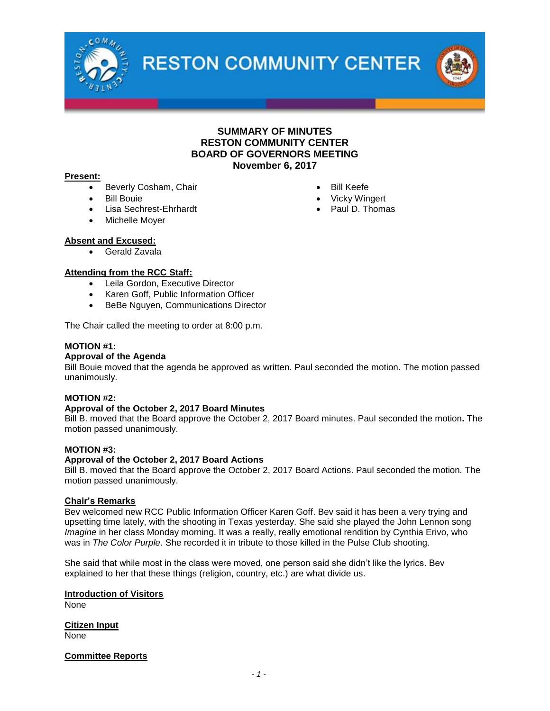

### **SUMMARY OF MINUTES RESTON COMMUNITY CENTER BOARD OF GOVERNORS MEETING November 6, 2017**

#### **Present:**

- Beverly Cosham, Chair
- Bill Bouie
- Lisa Sechrest-Ehrhardt
- Michelle Moyer

# **Absent and Excused:**

Gerald Zavala

#### **Attending from the RCC Staff:**

- Leila Gordon, Executive Director
- Karen Goff, Public Information Officer
- BeBe Nguyen, Communications Director

The Chair called the meeting to order at 8:00 p.m.

#### **MOTION #1:**

#### **Approval of the Agenda**

Bill Bouie moved that the agenda be approved as written. Paul seconded the motion. The motion passed unanimously.

#### **MOTION #2:**

#### **Approval of the October 2, 2017 Board Minutes**

Bill B. moved that the Board approve the October 2, 2017 Board minutes. Paul seconded the motion**.** The motion passed unanimously.

#### **MOTION #3:**

#### **Approval of the October 2, 2017 Board Actions**

Bill B. moved that the Board approve the October 2, 2017 Board Actions. Paul seconded the motion. The motion passed unanimously.

#### **Chair's Remarks**

Bev welcomed new RCC Public Information Officer Karen Goff. Bev said it has been a very trying and upsetting time lately, with the shooting in Texas yesterday. She said she played the John Lennon song *Imagine* in her class Monday morning. It was a really, really emotional rendition by Cynthia Erivo, who was in *The Color Purple*. She recorded it in tribute to those killed in the Pulse Club shooting.

She said that while most in the class were moved, one person said she didn't like the lyrics. Bev explained to her that these things (religion, country, etc.) are what divide us.

**Introduction of Visitors** None

**Citizen Input** None

**Committee Reports**

*- 1 -*

- Bill Keefe
- Vicky Wingert
- Paul D. Thomas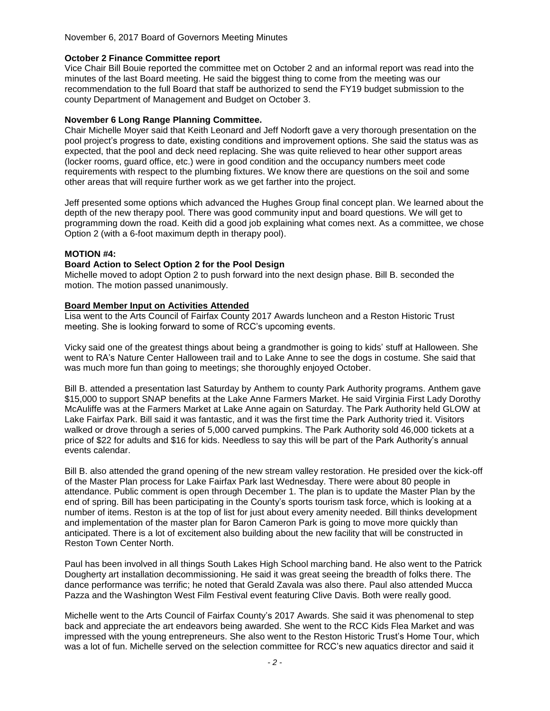### **October 2 Finance Committee report**

Vice Chair Bill Bouie reported the committee met on October 2 and an informal report was read into the minutes of the last Board meeting. He said the biggest thing to come from the meeting was our recommendation to the full Board that staff be authorized to send the FY19 budget submission to the county Department of Management and Budget on October 3.

### **November 6 Long Range Planning Committee.**

Chair Michelle Moyer said that Keith Leonard and Jeff Nodorft gave a very thorough presentation on the pool project's progress to date, existing conditions and improvement options. She said the status was as expected, that the pool and deck need replacing. She was quite relieved to hear other support areas (locker rooms, guard office, etc.) were in good condition and the occupancy numbers meet code requirements with respect to the plumbing fixtures. We know there are questions on the soil and some other areas that will require further work as we get farther into the project.

Jeff presented some options which advanced the Hughes Group final concept plan. We learned about the depth of the new therapy pool. There was good community input and board questions. We will get to programming down the road. Keith did a good job explaining what comes next. As a committee, we chose Option 2 (with a 6-foot maximum depth in therapy pool).

### **MOTION #4:**

### **Board Action to Select Option 2 for the Pool Design**

Michelle moved to adopt Option 2 to push forward into the next design phase. Bill B. seconded the motion. The motion passed unanimously.

### **Board Member Input on Activities Attended**

Lisa went to the Arts Council of Fairfax County 2017 Awards luncheon and a Reston Historic Trust meeting. She is looking forward to some of RCC's upcoming events.

Vicky said one of the greatest things about being a grandmother is going to kids' stuff at Halloween. She went to RA's Nature Center Halloween trail and to Lake Anne to see the dogs in costume. She said that was much more fun than going to meetings; she thoroughly enjoyed October.

Bill B. attended a presentation last Saturday by Anthem to county Park Authority programs. Anthem gave \$15,000 to support SNAP benefits at the Lake Anne Farmers Market. He said Virginia First Lady Dorothy McAuliffe was at the Farmers Market at Lake Anne again on Saturday. The Park Authority held GLOW at Lake Fairfax Park. Bill said it was fantastic, and it was the first time the Park Authority tried it. Visitors walked or drove through a series of 5,000 carved pumpkins. The Park Authority sold 46,000 tickets at a price of \$22 for adults and \$16 for kids. Needless to say this will be part of the Park Authority's annual events calendar.

Bill B. also attended the grand opening of the new stream valley restoration. He presided over the kick-off of the Master Plan process for Lake Fairfax Park last Wednesday. There were about 80 people in attendance. Public comment is open through December 1. The plan is to update the Master Plan by the end of spring. Bill has been participating in the County's sports tourism task force, which is looking at a number of items. Reston is at the top of list for just about every amenity needed. Bill thinks development and implementation of the master plan for Baron Cameron Park is going to move more quickly than anticipated. There is a lot of excitement also building about the new facility that will be constructed in Reston Town Center North.

Paul has been involved in all things South Lakes High School marching band. He also went to the Patrick Dougherty art installation decommissioning. He said it was great seeing the breadth of folks there. The dance performance was terrific; he noted that Gerald Zavala was also there. Paul also attended Mucca Pazza and the Washington West Film Festival event featuring Clive Davis. Both were really good.

Michelle went to the Arts Council of Fairfax County's 2017 Awards. She said it was phenomenal to step back and appreciate the art endeavors being awarded. She went to the RCC Kids Flea Market and was impressed with the young entrepreneurs. She also went to the Reston Historic Trust's Home Tour, which was a lot of fun. Michelle served on the selection committee for RCC's new aquatics director and said it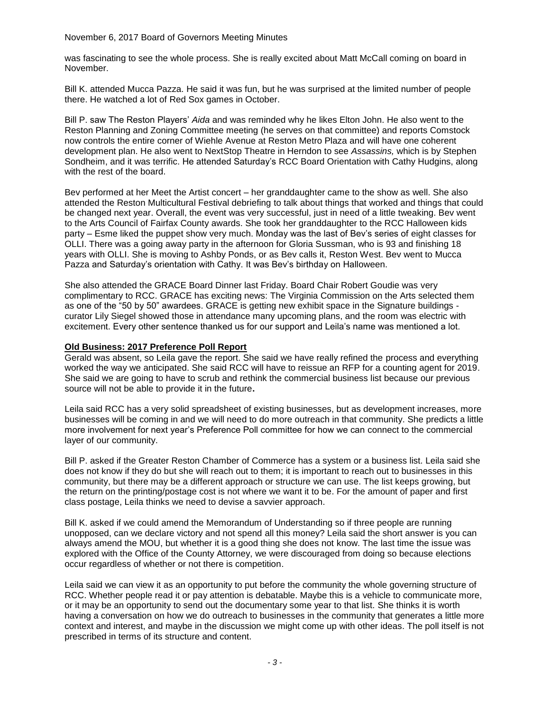was fascinating to see the whole process. She is really excited about Matt McCall coming on board in November.

Bill K. attended Mucca Pazza. He said it was fun, but he was surprised at the limited number of people there. He watched a lot of Red Sox games in October.

Bill P. saw The Reston Players' *Aida* and was reminded why he likes Elton John. He also went to the Reston Planning and Zoning Committee meeting (he serves on that committee) and reports Comstock now controls the entire corner of Wiehle Avenue at Reston Metro Plaza and will have one coherent development plan. He also went to NextStop Theatre in Herndon to see *Assassins,* which is by Stephen Sondheim, and it was terrific. He attended Saturday's RCC Board Orientation with Cathy Hudgins, along with the rest of the board.

Bev performed at her Meet the Artist concert – her granddaughter came to the show as well. She also attended the Reston Multicultural Festival debriefing to talk about things that worked and things that could be changed next year. Overall, the event was very successful, just in need of a little tweaking. Bev went to the Arts Council of Fairfax County awards. She took her granddaughter to the RCC Halloween kids party – Esme liked the puppet show very much. Monday was the last of Bev's series of eight classes for OLLI. There was a going away party in the afternoon for Gloria Sussman, who is 93 and finishing 18 years with OLLI. She is moving to Ashby Ponds, or as Bev calls it, Reston West. Bev went to Mucca Pazza and Saturday's orientation with Cathy. It was Bev's birthday on Halloween.

She also attended the GRACE Board Dinner last Friday. Board Chair Robert Goudie was very complimentary to RCC. GRACE has exciting news: The Virginia Commission on the Arts selected them as one of the "50 by 50" awardees. GRACE is getting new exhibit space in the Signature buildings curator Lily Siegel showed those in attendance many upcoming plans, and the room was electric with excitement. Every other sentence thanked us for our support and Leila's name was mentioned a lot.

#### **Old Business: 2017 Preference Poll Report**

Gerald was absent, so Leila gave the report. She said we have really refined the process and everything worked the way we anticipated. She said RCC will have to reissue an RFP for a counting agent for 2019. She said we are going to have to scrub and rethink the commercial business list because our previous source will not be able to provide it in the future**.**

Leila said RCC has a very solid spreadsheet of existing businesses, but as development increases, more businesses will be coming in and we will need to do more outreach in that community. She predicts a little more involvement for next year's Preference Poll committee for how we can connect to the commercial layer of our community.

Bill P. asked if the Greater Reston Chamber of Commerce has a system or a business list. Leila said she does not know if they do but she will reach out to them; it is important to reach out to businesses in this community, but there may be a different approach or structure we can use. The list keeps growing, but the return on the printing/postage cost is not where we want it to be. For the amount of paper and first class postage, Leila thinks we need to devise a savvier approach.

Bill K. asked if we could amend the Memorandum of Understanding so if three people are running unopposed, can we declare victory and not spend all this money? Leila said the short answer is you can always amend the MOU, but whether it is a good thing she does not know. The last time the issue was explored with the Office of the County Attorney, we were discouraged from doing so because elections occur regardless of whether or not there is competition.

Leila said we can view it as an opportunity to put before the community the whole governing structure of RCC. Whether people read it or pay attention is debatable. Maybe this is a vehicle to communicate more, or it may be an opportunity to send out the documentary some year to that list. She thinks it is worth having a conversation on how we do outreach to businesses in the community that generates a little more context and interest, and maybe in the discussion we might come up with other ideas. The poll itself is not prescribed in terms of its structure and content.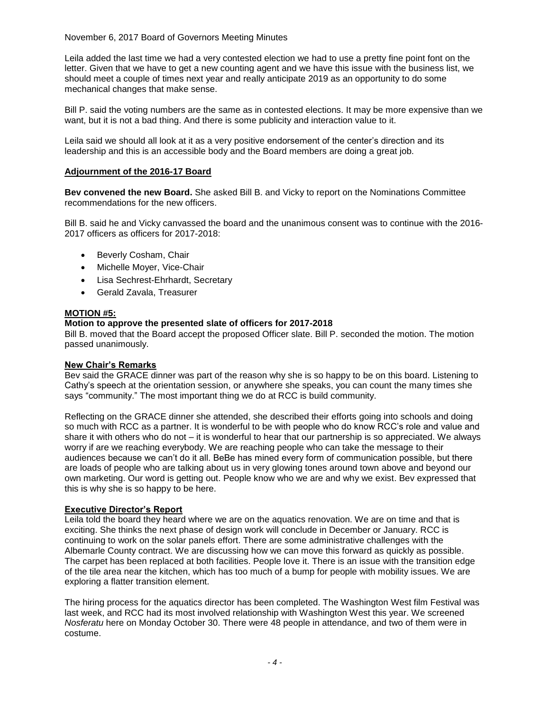Leila added the last time we had a very contested election we had to use a pretty fine point font on the letter. Given that we have to get a new counting agent and we have this issue with the business list, we should meet a couple of times next year and really anticipate 2019 as an opportunity to do some mechanical changes that make sense.

Bill P. said the voting numbers are the same as in contested elections. It may be more expensive than we want, but it is not a bad thing. And there is some publicity and interaction value to it.

Leila said we should all look at it as a very positive endorsement of the center's direction and its leadership and this is an accessible body and the Board members are doing a great job.

### **Adjournment of the 2016-17 Board**

**Bev convened the new Board.** She asked Bill B. and Vicky to report on the Nominations Committee recommendations for the new officers.

Bill B. said he and Vicky canvassed the board and the unanimous consent was to continue with the 2016- 2017 officers as officers for 2017-2018:

- Beverly Cosham, Chair
- Michelle Moyer, Vice-Chair
- Lisa Sechrest-Ehrhardt, Secretary
- Gerald Zavala, Treasurer

#### **MOTION #5:**

#### **Motion to approve the presented slate of officers for 2017-2018**

Bill B. moved that the Board accept the proposed Officer slate. Bill P. seconded the motion. The motion passed unanimously.

#### **New Chair's Remarks**

Bev said the GRACE dinner was part of the reason why she is so happy to be on this board. Listening to Cathy's speech at the orientation session, or anywhere she speaks, you can count the many times she says "community." The most important thing we do at RCC is build community.

Reflecting on the GRACE dinner she attended, she described their efforts going into schools and doing so much with RCC as a partner. It is wonderful to be with people who do know RCC's role and value and share it with others who do not – it is wonderful to hear that our partnership is so appreciated. We always worry if are we reaching everybody. We are reaching people who can take the message to their audiences because we can't do it all. BeBe has mined every form of communication possible, but there are loads of people who are talking about us in very glowing tones around town above and beyond our own marketing. Our word is getting out. People know who we are and why we exist. Bev expressed that this is why she is so happy to be here.

#### **Executive Director's Report**

Leila told the board they heard where we are on the aquatics renovation. We are on time and that is exciting. She thinks the next phase of design work will conclude in December or January. RCC is continuing to work on the solar panels effort. There are some administrative challenges with the Albemarle County contract. We are discussing how we can move this forward as quickly as possible. The carpet has been replaced at both facilities. People love it. There is an issue with the transition edge of the tile area near the kitchen, which has too much of a bump for people with mobility issues. We are exploring a flatter transition element.

The hiring process for the aquatics director has been completed. The Washington West film Festival was last week, and RCC had its most involved relationship with Washington West this year. We screened *Nosferatu* here on Monday October 30. There were 48 people in attendance, and two of them were in costume.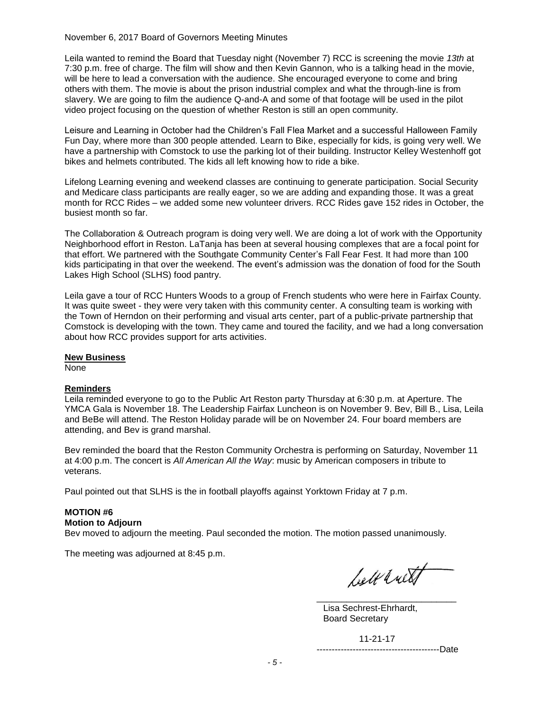Leila wanted to remind the Board that Tuesday night (November 7) RCC is screening the movie *13th* at 7:30 p.m. free of charge. The film will show and then Kevin Gannon, who is a talking head in the movie, will be here to lead a conversation with the audience. She encouraged everyone to come and bring others with them. The movie is about the prison industrial complex and what the through-line is from slavery. We are going to film the audience Q-and-A and some of that footage will be used in the pilot video project focusing on the question of whether Reston is still an open community.

Leisure and Learning in October had the Children's Fall Flea Market and a successful Halloween Family Fun Day, where more than 300 people attended. Learn to Bike, especially for kids, is going very well. We have a partnership with Comstock to use the parking lot of their building. Instructor Kelley Westenhoff got bikes and helmets contributed. The kids all left knowing how to ride a bike.

Lifelong Learning evening and weekend classes are continuing to generate participation. Social Security and Medicare class participants are really eager, so we are adding and expanding those. It was a great month for RCC Rides – we added some new volunteer drivers. RCC Rides gave 152 rides in October, the busiest month so far.

The Collaboration & Outreach program is doing very well. We are doing a lot of work with the Opportunity Neighborhood effort in Reston. LaTanja has been at several housing complexes that are a focal point for that effort. We partnered with the Southgate Community Center's Fall Fear Fest. It had more than 100 kids participating in that over the weekend. The event's admission was the donation of food for the South Lakes High School (SLHS) food pantry.

Leila gave a tour of RCC Hunters Woods to a group of French students who were here in Fairfax County. It was quite sweet - they were very taken with this community center. A consulting team is working with the Town of Herndon on their performing and visual arts center, part of a public-private partnership that Comstock is developing with the town. They came and toured the facility, and we had a long conversation about how RCC provides support for arts activities.

#### **New Business**

None

#### **Reminders**

Leila reminded everyone to go to the Public Art Reston party Thursday at 6:30 p.m. at Aperture. The YMCA Gala is November 18. The Leadership Fairfax Luncheon is on November 9. Bev, Bill B., Lisa, Leila and BeBe will attend. The Reston Holiday parade will be on November 24. Four board members are attending, and Bev is grand marshal.

Bev reminded the board that the Reston Community Orchestra is performing on Saturday, November 11 at 4:00 p.m. The concert is *All American All the Way*: music by American composers in tribute to veterans.

Paul pointed out that SLHS is the in football playoffs against Yorktown Friday at 7 p.m.

# **MOTION #6**

# **Motion to Adjourn**

Bev moved to adjourn the meeting. Paul seconded the motion. The motion passed unanimously.

The meeting was adjourned at 8:45 p.m.

belt with

 $\overline{\phantom{a}}$  , and the contract of the contract of the contract of the contract of the contract of the contract of the contract of the contract of the contract of the contract of the contract of the contract of the contrac Lisa Sechrest-Ehrhardt, Board Secretary

11-21-17

-----------------------------------------Date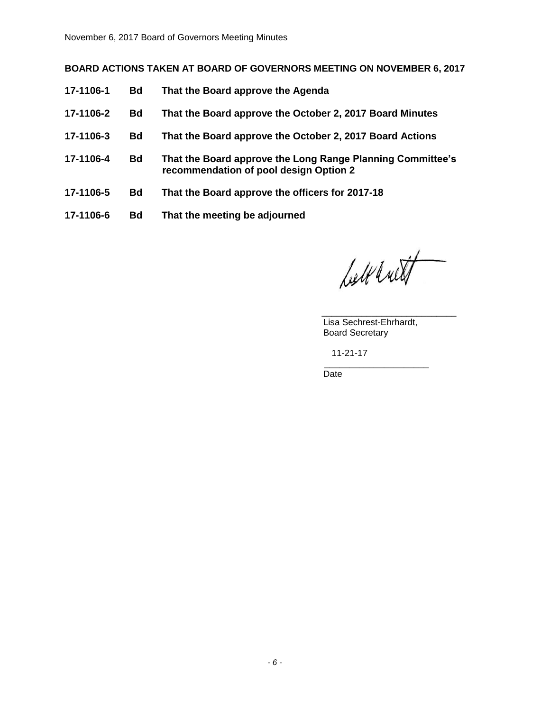# **BOARD ACTIONS TAKEN AT BOARD OF GOVERNORS MEETING ON NOVEMBER 6, 2017**

- **17-1106-1 Bd That the Board approve the Agenda**
- **17-1106-2 Bd That the Board approve the October 2, 2017 Board Minutes**
- **17-1106-3 Bd That the Board approve the October 2, 2017 Board Actions**
- **17-1106-4 Bd That the Board approve the Long Range Planning Committee's recommendation of pool design Option 2**
- **17-1106-5 Bd That the Board approve the officers for 2017-18**
- **17-1106-6 Bd That the meeting be adjourned**

belt with

 $\overline{\phantom{a}}$  , and the state of the state of the state of the state of the state of the state of the state of the state of the state of the state of the state of the state of the state of the state of the state of the stat Lisa Sechrest-Ehrhardt, Board Secretary

11-21-17

 $\mathcal{L}_\text{max}$  , and the set of the set of the set of the set of the set of the set of the set of the set of the set of the set of the set of the set of the set of the set of the set of the set of the set of the set of the Date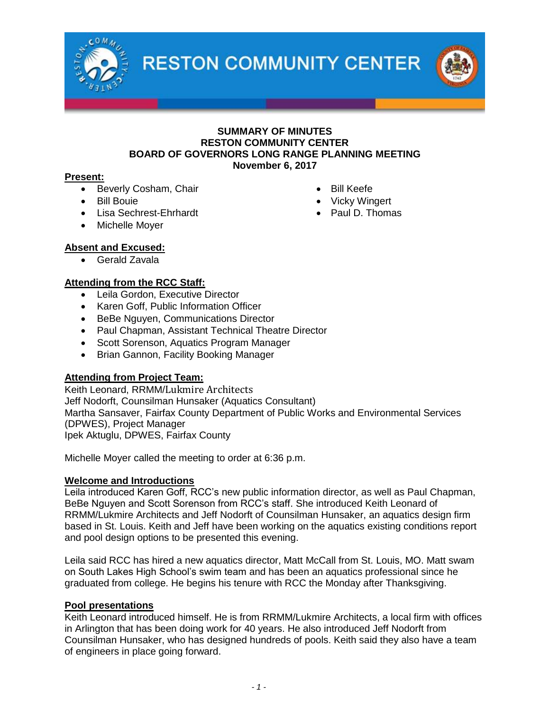

### **SUMMARY OF MINUTES RESTON COMMUNITY CENTER BOARD OF GOVERNORS LONG RANGE PLANNING MEETING November 6, 2017**

# **Present:**

- Beverly Cosham, Chair
- Bill Bouie
- Lisa Sechrest-Ehrhardt
- Michelle Mover
- Bill Keefe • Vicky Wingert
- Paul D. Thomas

# **Absent and Excused:**

Gerald Zavala

# **Attending from the RCC Staff:**

- Leila Gordon, Executive Director
- Karen Goff, Public Information Officer
- BeBe Nguyen, Communications Director
- Paul Chapman, Assistant Technical Theatre Director
- Scott Sorenson, Aquatics Program Manager
- Brian Gannon, Facility Booking Manager

# **Attending from Project Team:**

Keith Leonard, RRMM/Lukmire Architects Jeff Nodorft, Counsilman Hunsaker (Aquatics Consultant) Martha Sansaver, Fairfax County Department of Public Works and Environmental Services (DPWES), Project Manager Ipek Aktuglu, DPWES, Fairfax County

Michelle Moyer called the meeting to order at 6:36 p.m.

# **Welcome and Introductions**

Leila introduced Karen Goff, RCC's new public information director, as well as Paul Chapman, BeBe Nguyen and Scott Sorenson from RCC's staff. She introduced Keith Leonard of RRMM/Lukmire Architects and Jeff Nodorft of Counsilman Hunsaker, an aquatics design firm based in St. Louis. Keith and Jeff have been working on the aquatics existing conditions report and pool design options to be presented this evening.

Leila said RCC has hired a new aquatics director, Matt McCall from St. Louis, MO. Matt swam on South Lakes High School's swim team and has been an aquatics professional since he graduated from college. He begins his tenure with RCC the Monday after Thanksgiving.

# **Pool presentations**

Keith Leonard introduced himself. He is from RRMM/Lukmire Architects, a local firm with offices in Arlington that has been doing work for 40 years. He also introduced Jeff Nodorft from Counsilman Hunsaker, who has designed hundreds of pools. Keith said they also have a team of engineers in place going forward.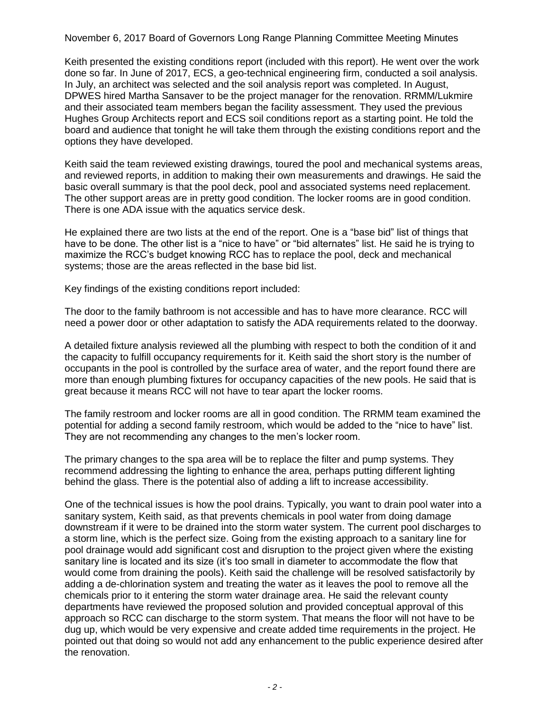Keith presented the existing conditions report (included with this report). He went over the work done so far. In June of 2017, ECS, a geo-technical engineering firm, conducted a soil analysis. In July, an architect was selected and the soil analysis report was completed. In August, DPWES hired Martha Sansaver to be the project manager for the renovation. RRMM/Lukmire and their associated team members began the facility assessment. They used the previous Hughes Group Architects report and ECS soil conditions report as a starting point. He told the board and audience that tonight he will take them through the existing conditions report and the options they have developed.

Keith said the team reviewed existing drawings, toured the pool and mechanical systems areas, and reviewed reports, in addition to making their own measurements and drawings. He said the basic overall summary is that the pool deck, pool and associated systems need replacement. The other support areas are in pretty good condition. The locker rooms are in good condition. There is one ADA issue with the aquatics service desk.

He explained there are two lists at the end of the report. One is a "base bid" list of things that have to be done. The other list is a "nice to have" or "bid alternates" list. He said he is trying to maximize the RCC's budget knowing RCC has to replace the pool, deck and mechanical systems; those are the areas reflected in the base bid list.

Key findings of the existing conditions report included:

The door to the family bathroom is not accessible and has to have more clearance. RCC will need a power door or other adaptation to satisfy the ADA requirements related to the doorway.

A detailed fixture analysis reviewed all the plumbing with respect to both the condition of it and the capacity to fulfill occupancy requirements for it. Keith said the short story is the number of occupants in the pool is controlled by the surface area of water, and the report found there are more than enough plumbing fixtures for occupancy capacities of the new pools. He said that is great because it means RCC will not have to tear apart the locker rooms.

The family restroom and locker rooms are all in good condition. The RRMM team examined the potential for adding a second family restroom, which would be added to the "nice to have" list. They are not recommending any changes to the men's locker room.

The primary changes to the spa area will be to replace the filter and pump systems. They recommend addressing the lighting to enhance the area, perhaps putting different lighting behind the glass. There is the potential also of adding a lift to increase accessibility.

One of the technical issues is how the pool drains. Typically, you want to drain pool water into a sanitary system, Keith said, as that prevents chemicals in pool water from doing damage downstream if it were to be drained into the storm water system. The current pool discharges to a storm line, which is the perfect size. Going from the existing approach to a sanitary line for pool drainage would add significant cost and disruption to the project given where the existing sanitary line is located and its size (it's too small in diameter to accommodate the flow that would come from draining the pools). Keith said the challenge will be resolved satisfactorily by adding a de-chlorination system and treating the water as it leaves the pool to remove all the chemicals prior to it entering the storm water drainage area. He said the relevant county departments have reviewed the proposed solution and provided conceptual approval of this approach so RCC can discharge to the storm system. That means the floor will not have to be dug up, which would be very expensive and create added time requirements in the project. He pointed out that doing so would not add any enhancement to the public experience desired after the renovation.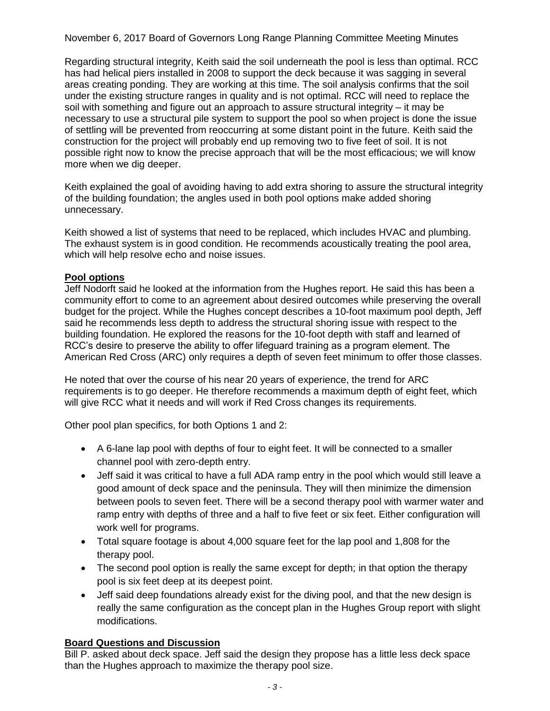Regarding structural integrity, Keith said the soil underneath the pool is less than optimal. RCC has had helical piers installed in 2008 to support the deck because it was sagging in several areas creating ponding. They are working at this time. The soil analysis confirms that the soil under the existing structure ranges in quality and is not optimal. RCC will need to replace the soil with something and figure out an approach to assure structural integrity – it may be necessary to use a structural pile system to support the pool so when project is done the issue of settling will be prevented from reoccurring at some distant point in the future. Keith said the construction for the project will probably end up removing two to five feet of soil. It is not possible right now to know the precise approach that will be the most efficacious; we will know more when we dig deeper.

Keith explained the goal of avoiding having to add extra shoring to assure the structural integrity of the building foundation; the angles used in both pool options make added shoring unnecessary.

Keith showed a list of systems that need to be replaced, which includes HVAC and plumbing. The exhaust system is in good condition. He recommends acoustically treating the pool area, which will help resolve echo and noise issues.

# **Pool options**

Jeff Nodorft said he looked at the information from the Hughes report. He said this has been a community effort to come to an agreement about desired outcomes while preserving the overall budget for the project. While the Hughes concept describes a 10-foot maximum pool depth, Jeff said he recommends less depth to address the structural shoring issue with respect to the building foundation. He explored the reasons for the 10-foot depth with staff and learned of RCC's desire to preserve the ability to offer lifeguard training as a program element. The American Red Cross (ARC) only requires a depth of seven feet minimum to offer those classes.

He noted that over the course of his near 20 years of experience, the trend for ARC requirements is to go deeper. He therefore recommends a maximum depth of eight feet, which will give RCC what it needs and will work if Red Cross changes its requirements.

Other pool plan specifics, for both Options 1 and 2:

- A 6-lane lap pool with depths of four to eight feet. It will be connected to a smaller channel pool with zero-depth entry.
- Jeff said it was critical to have a full ADA ramp entry in the pool which would still leave a good amount of deck space and the peninsula. They will then minimize the dimension between pools to seven feet. There will be a second therapy pool with warmer water and ramp entry with depths of three and a half to five feet or six feet. Either configuration will work well for programs.
- Total square footage is about 4,000 square feet for the lap pool and 1,808 for the therapy pool.
- The second pool option is really the same except for depth; in that option the therapy pool is six feet deep at its deepest point.
- Jeff said deep foundations already exist for the diving pool, and that the new design is really the same configuration as the concept plan in the Hughes Group report with slight modifications.

# **Board Questions and Discussion**

Bill P. asked about deck space. Jeff said the design they propose has a little less deck space than the Hughes approach to maximize the therapy pool size.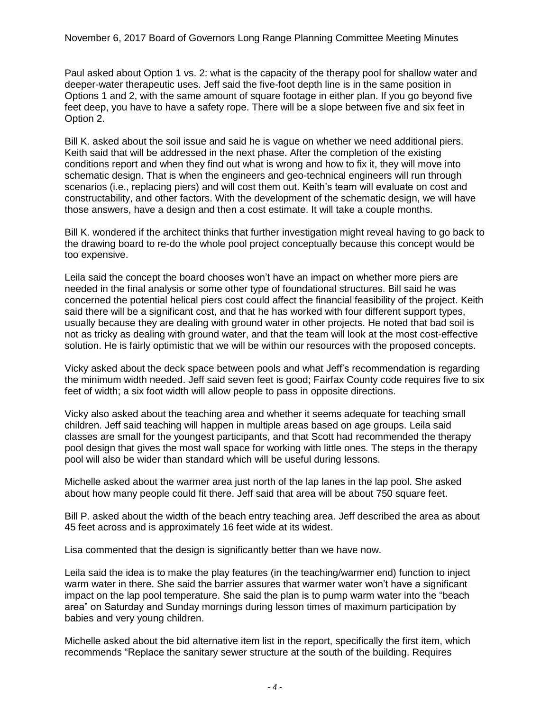Paul asked about Option 1 vs. 2: what is the capacity of the therapy pool for shallow water and deeper-water therapeutic uses. Jeff said the five-foot depth line is in the same position in Options 1 and 2, with the same amount of square footage in either plan. If you go beyond five feet deep, you have to have a safety rope. There will be a slope between five and six feet in Option 2.

Bill K. asked about the soil issue and said he is vague on whether we need additional piers. Keith said that will be addressed in the next phase. After the completion of the existing conditions report and when they find out what is wrong and how to fix it, they will move into schematic design. That is when the engineers and geo-technical engineers will run through scenarios (i.e., replacing piers) and will cost them out. Keith's team will evaluate on cost and constructability, and other factors. With the development of the schematic design, we will have those answers, have a design and then a cost estimate. It will take a couple months.

Bill K. wondered if the architect thinks that further investigation might reveal having to go back to the drawing board to re-do the whole pool project conceptually because this concept would be too expensive.

Leila said the concept the board chooses won't have an impact on whether more piers are needed in the final analysis or some other type of foundational structures. Bill said he was concerned the potential helical piers cost could affect the financial feasibility of the project. Keith said there will be a significant cost, and that he has worked with four different support types, usually because they are dealing with ground water in other projects. He noted that bad soil is not as tricky as dealing with ground water, and that the team will look at the most cost-effective solution. He is fairly optimistic that we will be within our resources with the proposed concepts.

Vicky asked about the deck space between pools and what Jeff's recommendation is regarding the minimum width needed. Jeff said seven feet is good; Fairfax County code requires five to six feet of width; a six foot width will allow people to pass in opposite directions.

Vicky also asked about the teaching area and whether it seems adequate for teaching small children. Jeff said teaching will happen in multiple areas based on age groups. Leila said classes are small for the youngest participants, and that Scott had recommended the therapy pool design that gives the most wall space for working with little ones. The steps in the therapy pool will also be wider than standard which will be useful during lessons.

Michelle asked about the warmer area just north of the lap lanes in the lap pool. She asked about how many people could fit there. Jeff said that area will be about 750 square feet.

Bill P. asked about the width of the beach entry teaching area. Jeff described the area as about 45 feet across and is approximately 16 feet wide at its widest.

Lisa commented that the design is significantly better than we have now.

Leila said the idea is to make the play features (in the teaching/warmer end) function to inject warm water in there. She said the barrier assures that warmer water won't have a significant impact on the lap pool temperature. She said the plan is to pump warm water into the "beach area" on Saturday and Sunday mornings during lesson times of maximum participation by babies and very young children.

Michelle asked about the bid alternative item list in the report, specifically the first item, which recommends "Replace the sanitary sewer structure at the south of the building. Requires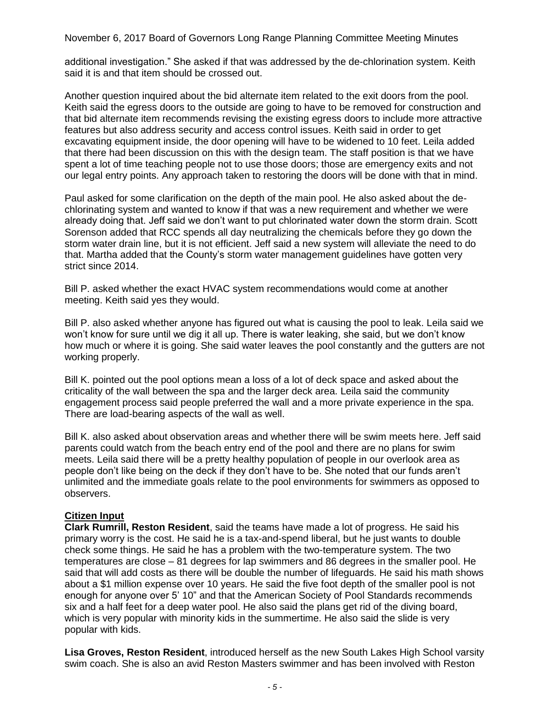additional investigation." She asked if that was addressed by the de-chlorination system. Keith said it is and that item should be crossed out.

Another question inquired about the bid alternate item related to the exit doors from the pool. Keith said the egress doors to the outside are going to have to be removed for construction and that bid alternate item recommends revising the existing egress doors to include more attractive features but also address security and access control issues. Keith said in order to get excavating equipment inside, the door opening will have to be widened to 10 feet. Leila added that there had been discussion on this with the design team. The staff position is that we have spent a lot of time teaching people not to use those doors; those are emergency exits and not our legal entry points. Any approach taken to restoring the doors will be done with that in mind.

Paul asked for some clarification on the depth of the main pool. He also asked about the dechlorinating system and wanted to know if that was a new requirement and whether we were already doing that. Jeff said we don't want to put chlorinated water down the storm drain. Scott Sorenson added that RCC spends all day neutralizing the chemicals before they go down the storm water drain line, but it is not efficient. Jeff said a new system will alleviate the need to do that. Martha added that the County's storm water management guidelines have gotten very strict since 2014.

Bill P. asked whether the exact HVAC system recommendations would come at another meeting. Keith said yes they would.

Bill P. also asked whether anyone has figured out what is causing the pool to leak. Leila said we won't know for sure until we dig it all up. There is water leaking, she said, but we don't know how much or where it is going. She said water leaves the pool constantly and the gutters are not working properly.

Bill K. pointed out the pool options mean a loss of a lot of deck space and asked about the criticality of the wall between the spa and the larger deck area. Leila said the community engagement process said people preferred the wall and a more private experience in the spa. There are load-bearing aspects of the wall as well.

Bill K. also asked about observation areas and whether there will be swim meets here. Jeff said parents could watch from the beach entry end of the pool and there are no plans for swim meets. Leila said there will be a pretty healthy population of people in our overlook area as people don't like being on the deck if they don't have to be. She noted that our funds aren't unlimited and the immediate goals relate to the pool environments for swimmers as opposed to observers.

# **Citizen Input**

**Clark Rumrill, Reston Resident**, said the teams have made a lot of progress. He said his primary worry is the cost. He said he is a tax-and-spend liberal, but he just wants to double check some things. He said he has a problem with the two-temperature system. The two temperatures are close – 81 degrees for lap swimmers and 86 degrees in the smaller pool. He said that will add costs as there will be double the number of lifeguards. He said his math shows about a \$1 million expense over 10 years. He said the five foot depth of the smaller pool is not enough for anyone over 5' 10" and that the American Society of Pool Standards recommends six and a half feet for a deep water pool. He also said the plans get rid of the diving board, which is very popular with minority kids in the summertime. He also said the slide is very popular with kids.

**Lisa Groves, Reston Resident**, introduced herself as the new South Lakes High School varsity swim coach. She is also an avid Reston Masters swimmer and has been involved with Reston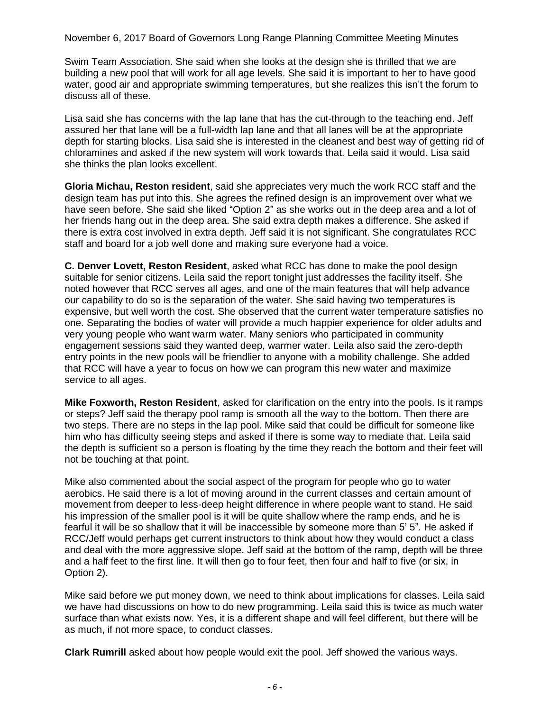Swim Team Association. She said when she looks at the design she is thrilled that we are building a new pool that will work for all age levels. She said it is important to her to have good water, good air and appropriate swimming temperatures, but she realizes this isn't the forum to discuss all of these.

Lisa said she has concerns with the lap lane that has the cut-through to the teaching end. Jeff assured her that lane will be a full-width lap lane and that all lanes will be at the appropriate depth for starting blocks. Lisa said she is interested in the cleanest and best way of getting rid of chloramines and asked if the new system will work towards that. Leila said it would. Lisa said she thinks the plan looks excellent.

**Gloria Michau, Reston resident**, said she appreciates very much the work RCC staff and the design team has put into this. She agrees the refined design is an improvement over what we have seen before. She said she liked "Option 2" as she works out in the deep area and a lot of her friends hang out in the deep area. She said extra depth makes a difference. She asked if there is extra cost involved in extra depth. Jeff said it is not significant. She congratulates RCC staff and board for a job well done and making sure everyone had a voice.

**C. Denver Lovett, Reston Resident**, asked what RCC has done to make the pool design suitable for senior citizens. Leila said the report tonight just addresses the facility itself. She noted however that RCC serves all ages, and one of the main features that will help advance our capability to do so is the separation of the water. She said having two temperatures is expensive, but well worth the cost. She observed that the current water temperature satisfies no one. Separating the bodies of water will provide a much happier experience for older adults and very young people who want warm water. Many seniors who participated in community engagement sessions said they wanted deep, warmer water. Leila also said the zero-depth entry points in the new pools will be friendlier to anyone with a mobility challenge. She added that RCC will have a year to focus on how we can program this new water and maximize service to all ages.

**Mike Foxworth, Reston Resident**, asked for clarification on the entry into the pools. Is it ramps or steps? Jeff said the therapy pool ramp is smooth all the way to the bottom. Then there are two steps. There are no steps in the lap pool. Mike said that could be difficult for someone like him who has difficulty seeing steps and asked if there is some way to mediate that. Leila said the depth is sufficient so a person is floating by the time they reach the bottom and their feet will not be touching at that point.

Mike also commented about the social aspect of the program for people who go to water aerobics. He said there is a lot of moving around in the current classes and certain amount of movement from deeper to less-deep height difference in where people want to stand. He said his impression of the smaller pool is it will be quite shallow where the ramp ends, and he is fearful it will be so shallow that it will be inaccessible by someone more than 5' 5". He asked if RCC/Jeff would perhaps get current instructors to think about how they would conduct a class and deal with the more aggressive slope. Jeff said at the bottom of the ramp, depth will be three and a half feet to the first line. It will then go to four feet, then four and half to five (or six, in Option 2).

Mike said before we put money down, we need to think about implications for classes. Leila said we have had discussions on how to do new programming. Leila said this is twice as much water surface than what exists now. Yes, it is a different shape and will feel different, but there will be as much, if not more space, to conduct classes.

**Clark Rumrill** asked about how people would exit the pool. Jeff showed the various ways.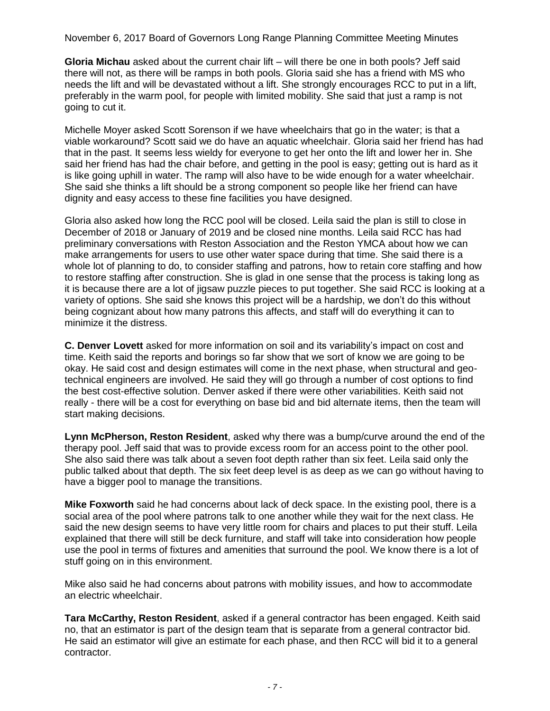**Gloria Michau** asked about the current chair lift – will there be one in both pools? Jeff said there will not, as there will be ramps in both pools. Gloria said she has a friend with MS who needs the lift and will be devastated without a lift. She strongly encourages RCC to put in a lift, preferably in the warm pool, for people with limited mobility. She said that just a ramp is not going to cut it.

Michelle Moyer asked Scott Sorenson if we have wheelchairs that go in the water; is that a viable workaround? Scott said we do have an aquatic wheelchair. Gloria said her friend has had that in the past. It seems less wieldy for everyone to get her onto the lift and lower her in. She said her friend has had the chair before, and getting in the pool is easy; getting out is hard as it is like going uphill in water. The ramp will also have to be wide enough for a water wheelchair. She said she thinks a lift should be a strong component so people like her friend can have dignity and easy access to these fine facilities you have designed.

Gloria also asked how long the RCC pool will be closed. Leila said the plan is still to close in December of 2018 or January of 2019 and be closed nine months. Leila said RCC has had preliminary conversations with Reston Association and the Reston YMCA about how we can make arrangements for users to use other water space during that time. She said there is a whole lot of planning to do, to consider staffing and patrons, how to retain core staffing and how to restore staffing after construction. She is glad in one sense that the process is taking long as it is because there are a lot of jigsaw puzzle pieces to put together. She said RCC is looking at a variety of options. She said she knows this project will be a hardship, we don't do this without being cognizant about how many patrons this affects, and staff will do everything it can to minimize it the distress.

**C. Denver Lovett** asked for more information on soil and its variability's impact on cost and time. Keith said the reports and borings so far show that we sort of know we are going to be okay. He said cost and design estimates will come in the next phase, when structural and geotechnical engineers are involved. He said they will go through a number of cost options to find the best cost-effective solution. Denver asked if there were other variabilities. Keith said not really - there will be a cost for everything on base bid and bid alternate items, then the team will start making decisions.

**Lynn McPherson, Reston Resident**, asked why there was a bump/curve around the end of the therapy pool. Jeff said that was to provide excess room for an access point to the other pool. She also said there was talk about a seven foot depth rather than six feet. Leila said only the public talked about that depth. The six feet deep level is as deep as we can go without having to have a bigger pool to manage the transitions.

**Mike Foxworth** said he had concerns about lack of deck space. In the existing pool, there is a social area of the pool where patrons talk to one another while they wait for the next class. He said the new design seems to have very little room for chairs and places to put their stuff. Leila explained that there will still be deck furniture, and staff will take into consideration how people use the pool in terms of fixtures and amenities that surround the pool. We know there is a lot of stuff going on in this environment.

Mike also said he had concerns about patrons with mobility issues, and how to accommodate an electric wheelchair.

**Tara McCarthy, Reston Resident**, asked if a general contractor has been engaged. Keith said no, that an estimator is part of the design team that is separate from a general contractor bid. He said an estimator will give an estimate for each phase, and then RCC will bid it to a general contractor.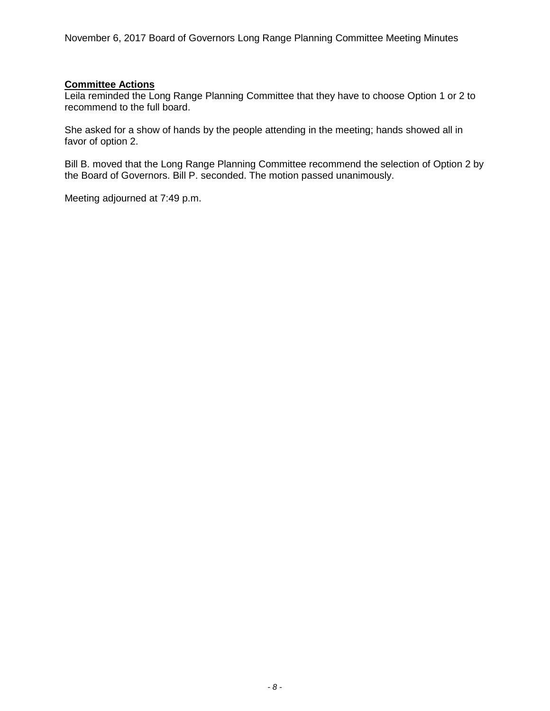# **Committee Actions**

Leila reminded the Long Range Planning Committee that they have to choose Option 1 or 2 to recommend to the full board.

She asked for a show of hands by the people attending in the meeting; hands showed all in favor of option 2.

Bill B. moved that the Long Range Planning Committee recommend the selection of Option 2 by the Board of Governors. Bill P. seconded. The motion passed unanimously.

Meeting adjourned at 7:49 p.m.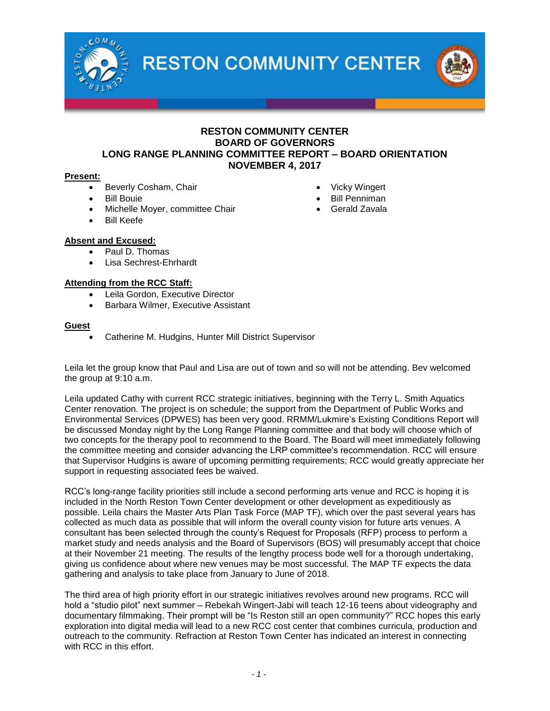

### **RESTON COMMUNITY CENTER BOARD OF GOVERNORS LONG RANGE PLANNING COMMITTEE REPORT – BOARD ORIENTATION NOVEMBER 4, 2017**

#### **Present:**

- Beverly Cosham, Chair
- Bill Bouie
- Michelle Moyer, committee Chair
- Bill Keefe

### **Absent and Excused:**

- Paul D. Thomas
- Lisa Sechrest-Ehrhardt

### **Attending from the RCC Staff:**

- Leila Gordon, Executive Director
- Barbara Wilmer, Executive Assistant

#### **Guest**

Catherine M. Hudgins, Hunter Mill District Supervisor

Leila let the group know that Paul and Lisa are out of town and so will not be attending. Bev welcomed the group at 9:10 a.m.

Leila updated Cathy with current RCC strategic initiatives, beginning with the Terry L. Smith Aquatics Center renovation. The project is on schedule; the support from the Department of Public Works and Environmental Services (DPWES) has been very good. RRMM/Lukmire's Existing Conditions Report will be discussed Monday night by the Long Range Planning committee and that body will choose which of two concepts for the therapy pool to recommend to the Board. The Board will meet immediately following the committee meeting and consider advancing the LRP committee's recommendation. RCC will ensure that Supervisor Hudgins is aware of upcoming permitting requirements; RCC would greatly appreciate her support in requesting associated fees be waived.

RCC's long-range facility priorities still include a second performing arts venue and RCC is hoping it is included in the North Reston Town Center development or other development as expeditiously as possible. Leila chairs the Master Arts Plan Task Force (MAP TF), which over the past several years has collected as much data as possible that will inform the overall county vision for future arts venues. A consultant has been selected through the county's Request for Proposals (RFP) process to perform a market study and needs analysis and the Board of Supervisors (BOS) will presumably accept that choice at their November 21 meeting. The results of the lengthy process bode well for a thorough undertaking, giving us confidence about where new venues may be most successful. The MAP TF expects the data gathering and analysis to take place from January to June of 2018.

The third area of high priority effort in our strategic initiatives revolves around new programs. RCC will hold a "studio pilot" next summer – Rebekah Wingert-Jabi will teach 12-16 teens about videography and documentary filmmaking. Their prompt will be "Is Reston still an open community?" RCC hopes this early exploration into digital media will lead to a new RCC cost center that combines curricula, production and outreach to the community. Refraction at Reston Town Center has indicated an interest in connecting with RCC in this effort.

- Vicky Wingert
- Bill Penniman
- Gerald Zavala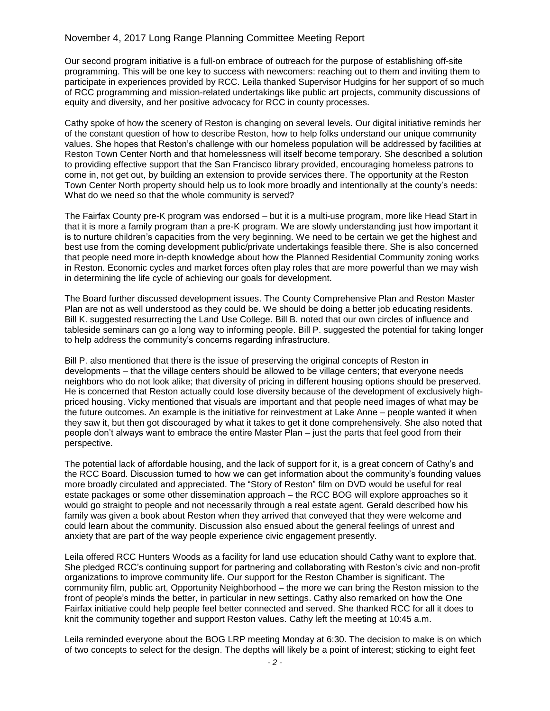### November 4, 2017 Long Range Planning Committee Meeting Report

Our second program initiative is a full-on embrace of outreach for the purpose of establishing off-site programming. This will be one key to success with newcomers: reaching out to them and inviting them to participate in experiences provided by RCC. Leila thanked Supervisor Hudgins for her support of so much of RCC programming and mission-related undertakings like public art projects, community discussions of equity and diversity, and her positive advocacy for RCC in county processes.

Cathy spoke of how the scenery of Reston is changing on several levels. Our digital initiative reminds her of the constant question of how to describe Reston, how to help folks understand our unique community values. She hopes that Reston's challenge with our homeless population will be addressed by facilities at Reston Town Center North and that homelessness will itself become temporary. She described a solution to providing effective support that the San Francisco library provided, encouraging homeless patrons to come in, not get out, by building an extension to provide services there. The opportunity at the Reston Town Center North property should help us to look more broadly and intentionally at the county's needs: What do we need so that the whole community is served?

The Fairfax County pre-K program was endorsed – but it is a multi-use program, more like Head Start in that it is more a family program than a pre-K program. We are slowly understanding just how important it is to nurture children's capacities from the very beginning. We need to be certain we get the highest and best use from the coming development public/private undertakings feasible there. She is also concerned that people need more in-depth knowledge about how the Planned Residential Community zoning works in Reston. Economic cycles and market forces often play roles that are more powerful than we may wish in determining the life cycle of achieving our goals for development.

The Board further discussed development issues. The County Comprehensive Plan and Reston Master Plan are not as well understood as they could be. We should be doing a better job educating residents. Bill K. suggested resurrecting the Land Use College. Bill B. noted that our own circles of influence and tableside seminars can go a long way to informing people. Bill P. suggested the potential for taking longer to help address the community's concerns regarding infrastructure.

Bill P. also mentioned that there is the issue of preserving the original concepts of Reston in developments – that the village centers should be allowed to be village centers; that everyone needs neighbors who do not look alike; that diversity of pricing in different housing options should be preserved. He is concerned that Reston actually could lose diversity because of the development of exclusively highpriced housing. Vicky mentioned that visuals are important and that people need images of what may be the future outcomes. An example is the initiative for reinvestment at Lake Anne – people wanted it when they saw it, but then got discouraged by what it takes to get it done comprehensively. She also noted that people don't always want to embrace the entire Master Plan – just the parts that feel good from their perspective.

The potential lack of affordable housing, and the lack of support for it, is a great concern of Cathy's and the RCC Board. Discussion turned to how we can get information about the community's founding values more broadly circulated and appreciated. The "Story of Reston" film on DVD would be useful for real estate packages or some other dissemination approach – the RCC BOG will explore approaches so it would go straight to people and not necessarily through a real estate agent. Gerald described how his family was given a book about Reston when they arrived that conveyed that they were welcome and could learn about the community. Discussion also ensued about the general feelings of unrest and anxiety that are part of the way people experience civic engagement presently.

Leila offered RCC Hunters Woods as a facility for land use education should Cathy want to explore that. She pledged RCC's continuing support for partnering and collaborating with Reston's civic and non-profit organizations to improve community life. Our support for the Reston Chamber is significant. The community film, public art, Opportunity Neighborhood – the more we can bring the Reston mission to the front of people's minds the better, in particular in new settings. Cathy also remarked on how the One Fairfax initiative could help people feel better connected and served. She thanked RCC for all it does to knit the community together and support Reston values. Cathy left the meeting at 10:45 a.m.

Leila reminded everyone about the BOG LRP meeting Monday at 6:30. The decision to make is on which of two concepts to select for the design. The depths will likely be a point of interest; sticking to eight feet